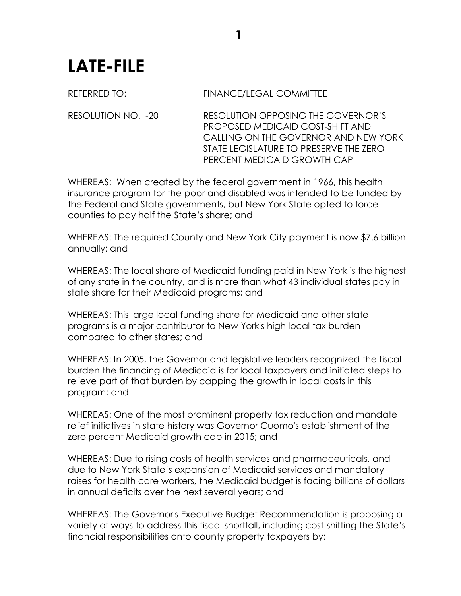## **LATE-FILE**

## REFERRED TO: FINANCE/LEGAL COMMITTEE

RESOLUTION NO. -20 RESOLUTION OPPOSING THE GOVERNOR'S PROPOSED MEDICAID COST-SHIFT AND CALLING ON THE GOVERNOR AND NEW YORK STATE LEGISLATURE TO PRESERVE THE ZERO PERCENT MEDICAID GROWTH CAP

WHEREAS: When created by the federal government in 1966, this health insurance program for the poor and disabled was intended to be funded by the Federal and State governments, but New York State opted to force counties to pay half the State's share; and

WHEREAS: The required County and New York City payment is now \$7.6 billion annually; and

WHEREAS: The local share of Medicaid funding paid in New York is the highest of any state in the country, and is more than what 43 individual states pay in state share for their Medicaid programs; and

WHEREAS: This large local funding share for Medicaid and other state programs is a major contributor to New York's high local tax burden compared to other states; and

WHEREAS: In 2005, the Governor and legislative leaders recognized the fiscal burden the financing of Medicaid is for local taxpayers and initiated steps to relieve part of that burden by capping the growth in local costs in this program; and

WHEREAS: One of the most prominent property tax reduction and mandate relief initiatives in state history was Governor Cuomo's establishment of the zero percent Medicaid growth cap in 2015; and

WHEREAS: Due to rising costs of health services and pharmaceuticals, and due to New York State's expansion of Medicaid services and mandatory raises for health care workers, the Medicaid budget is facing billions of dollars in annual deficits over the next several years; and

WHEREAS: The Governor's Executive Budget Recommendation is proposing a variety of ways to address this fiscal shortfall, including cost-shifting the State's financial responsibilities onto county property taxpayers by: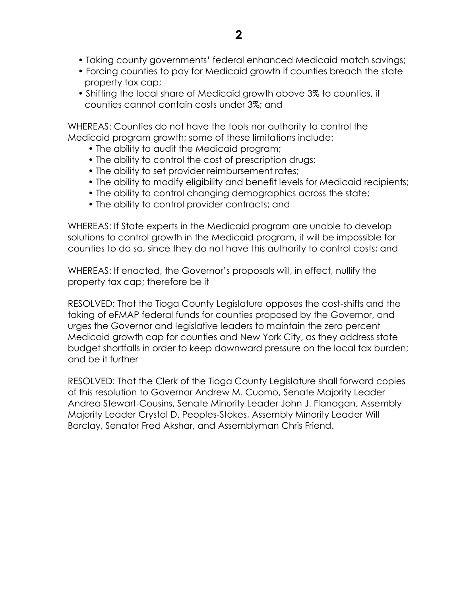- Taking county governments' federal enhanced Medicaid match savings;
- Forcing counties to pay for Medicaid growth if counties breach the state property tax cap;
- Shifting the local share of Medicaid growth above 3% to counties, if counties cannot contain costs under 3%; and

WHEREAS: Counties do not have the tools nor authority to control the Medicaid program growth; some of these limitations include:

- The ability to audit the Medicaid program;
- The ability to control the cost of prescription drugs;
- The ability to set provider reimbursement rates;
- The ability to modify eligibility and benefit levels for Medicaid recipients;
- The ability to control changing demographics across the state;
- The ability to control provider contracts; and

WHEREAS: If State experts in the Medicaid program are unable to develop solutions to control growth in the Medicaid program, it will be impossible for counties to do so, since they do not have this authority to control costs; and

WHEREAS: If enacted, the Governor's proposals will, in effect, nullify the property tax cap; therefore be it

RESOLVED: That the Tioga County Legislature opposes the cost-shifts and the taking of eFMAP federal funds for counties proposed by the Governor, and urges the Governor and legislative leaders to maintain the zero percent Medicaid growth cap for counties and New York City, as they address state budget shortfalls in order to keep downward pressure on the local tax burden; and be it further

RESOLVED: That the Clerk of the Tioga County Legislature shall forward copies of this resolution to Governor Andrew M. Cuomo, Senate Majority Leader Andrea Stewart-Cousins, Senate Minority Leader John J. Flanagan, Assembly Majority Leader Crystal D. Peoples-Stokes, Assembly Minority Leader Will Barclay, Senator Fred Akshar, and Assemblyman Chris Friend.